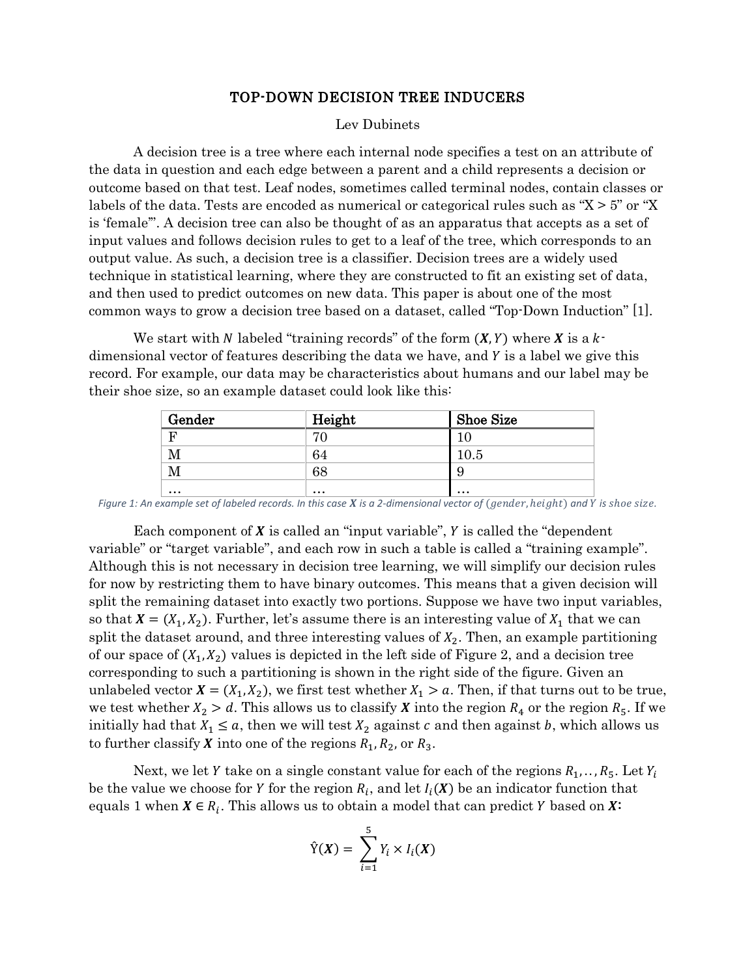#### TOP-DOWN DECISION TREE INDUCERS

#### Lev Dubinets

A decision tree is a tree where each internal node specifies a test on an attribute of the data in question and each edge between a parent and a child represents a decision or outcome based on that test. Leaf nodes, sometimes called terminal nodes, contain classes or labels of the data. Tests are encoded as numerical or categorical rules such as "X > 5" or "X is 'female'". A decision tree can also be thought of as an apparatus that accepts as a set of input values and follows decision rules to get to a leaf of the tree, which corresponds to an output value. As such, a decision tree is a classifier. Decision trees are a widely used technique in statistical learning, where they are constructed to fit an existing set of data, and then used to predict outcomes on new data. This paper is about one of the most common ways to grow a decision tree based on a dataset, called "Top-Down Induction" [1].

We start with N labeled "training records" of the form  $(X, Y)$  where X is a  $k$ dimensional vector of features describing the data we have, and Y is a label we give this record. For example, our data may be characteristics about humans and our label may be their shoe size, so an example dataset could look like this:

| Gender    | Height   | <b>Shoe Size</b> |
|-----------|----------|------------------|
| F         |          |                  |
| М         | 64       | 10.5             |
| М         | 68       | Q<br>$\cdot$     |
| $\ddotsc$ | $\cdots$ | $\cdots$         |

 $F$ igure 1: An example set of labeled records. In this case  $X$  is a 2-dimensional vector of  $(g$ ender,  $height)$  and  $Y$  is shoe size.

Each component of  $X$  is called an "input variable",  $Y$  is called the "dependent" variable" or "target variable", and each row in such a table is called a "training example". Although this is not necessary in decision tree learning, we will simplify our decision rules for now by restricting them to have binary outcomes. This means that a given decision will split the remaining dataset into exactly two portions. Suppose we have two input variables, so that  $X = (X_1, X_2)$ . Further, let's assume there is an interesting value of  $X_1$  that we can split the dataset around, and three interesting values of  $X_2$ . Then, an example partitioning of our space of  $(X_1, X_2)$  values is depicted in the left side of Figure 2, and a decision tree corresponding to such a partitioning is shown in the right side of the figure. Given an unlabeled vector  $X = (X_1, X_2)$ , we first test whether  $X_1 > a$ . Then, if that turns out to be true, we test whether  $X_2 > d$ . This allows us to classify **X** into the region  $R_4$  or the region  $R_5$ . If we initially had that  $X_1 \le a$ , then we will test  $X_2$  against c and then against b, which allows us to further classify **X** into one of the regions  $R_1$ ,  $R_2$ , or  $R_3$ .

Next, we let Y take on a single constant value for each of the regions  $R_1, \ldots, R_5$ . Let  $Y_i$ be the value we choose for Y for the region  $R_i$ , and let  $I_i(X)$  be an indicator function that equals 1 when  $X \in R_i$ . This allows us to obtain a model that can predict Y based on  $X^2$ 

$$
\hat{Y}(X) = \sum_{i=1}^{5} Y_i \times I_i(X)
$$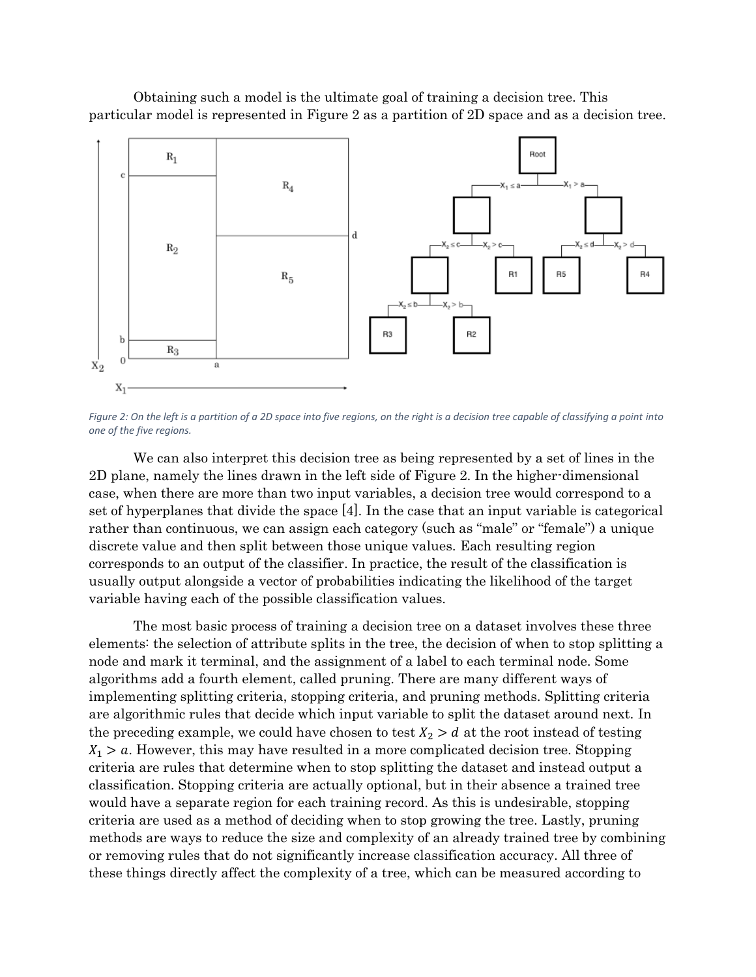Obtaining such a model is the ultimate goal of training a decision tree. This particular model is represented in Figure 2 as a partition of 2D space and as a decision tree.



*Figure 2: On the left is a partition of a 2D space into five regions, on the right is a decision tree capable of classifying a point into one of the five regions.*

We can also interpret this decision tree as being represented by a set of lines in the 2D plane, namely the lines drawn in the left side of Figure 2. In the higher-dimensional case, when there are more than two input variables, a decision tree would correspond to a set of hyperplanes that divide the space [4]. In the case that an input variable is categorical rather than continuous, we can assign each category (such as "male" or "female") a unique discrete value and then split between those unique values. Each resulting region corresponds to an output of the classifier. In practice, the result of the classification is usually output alongside a vector of probabilities indicating the likelihood of the target variable having each of the possible classification values.

The most basic process of training a decision tree on a dataset involves these three elements: the selection of attribute splits in the tree, the decision of when to stop splitting a node and mark it terminal, and the assignment of a label to each terminal node. Some algorithms add a fourth element, called pruning. There are many different ways of implementing splitting criteria, stopping criteria, and pruning methods. Splitting criteria are algorithmic rules that decide which input variable to split the dataset around next. In the preceding example, we could have chosen to test  $X_2 > d$  at the root instead of testing  $X_1 > a$ . However, this may have resulted in a more complicated decision tree. Stopping criteria are rules that determine when to stop splitting the dataset and instead output a classification. Stopping criteria are actually optional, but in their absence a trained tree would have a separate region for each training record. As this is undesirable, stopping criteria are used as a method of deciding when to stop growing the tree. Lastly, pruning methods are ways to reduce the size and complexity of an already trained tree by combining or removing rules that do not significantly increase classification accuracy. All three of these things directly affect the complexity of a tree, which can be measured according to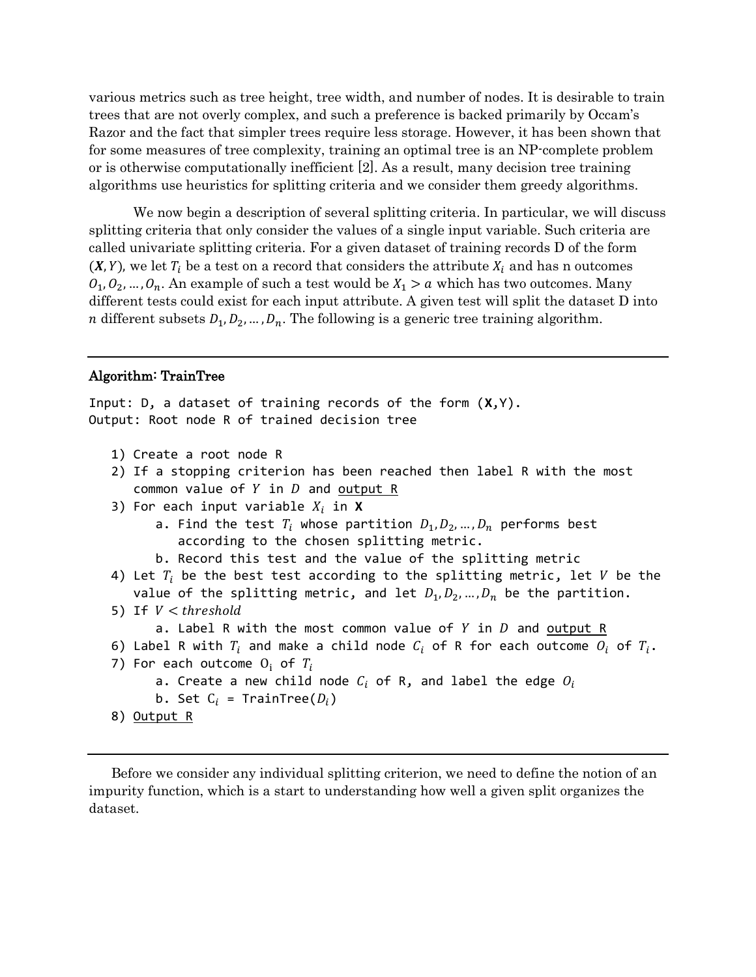various metrics such as tree height, tree width, and number of nodes. It is desirable to train trees that are not overly complex, and such a preference is backed primarily by Occam's Razor and the fact that simpler trees require less storage. However, it has been shown that for some measures of tree complexity, training an optimal tree is an NP-complete problem or is otherwise computationally inefficient [2]. As a result, many decision tree training algorithms use heuristics for splitting criteria and we consider them greedy algorithms.

We now begin a description of several splitting criteria. In particular, we will discuss splitting criteria that only consider the values of a single input variable. Such criteria are called univariate splitting criteria. For a given dataset of training records D of the form  $(X, Y)$ , we let  $T_i$  be a test on a record that considers the attribute  $X_i$  and has n outcomes  $0_1, 0_2, \ldots, 0_n$ . An example of such a test would be  $X_1 > a$  which has two outcomes. Many different tests could exist for each input attribute. A given test will split the dataset D into *n* different subsets  $D_1, D_2, ..., D_n$ . The following is a generic tree training algorithm.

#### Algorithm: TrainTree

Input: D, a dataset of training records of the form (**X**,Y). Output: Root node R of trained decision tree

- 1) Create a root node R
- 2) If a stopping criterion has been reached then label R with the most common value of  $Y$  in  $D$  and output R
- 3) For each input variable  $X_i$  in **X** 
	- a. Find the test  $T_i$  whose partition  $D_1, D_2, ..., D_n$  performs best according to the chosen splitting metric.
	- b. Record this test and the value of the splitting metric
- 4) Let  $T_i$  be the best test according to the splitting metric, let  $V$  be the value of the splitting metric, and let  $D_1, D_2, ..., D_n$  be the partition.
- 5) If  $V < threshold$ 
	- a. Label R with the most common value of  $Y$  in  $D$  and output R
- 6) Label R with  $T_i$  and make a child node  $C_i$  of R for each outcome  $O_i$  of  $T_i$ .

```
7) For each outcome O_i of T_i
```

```
a. Create a new child node C_i of R, and label the edge O_i
```

```
b. Set C_i = TrainTree(D_i)
```

```
8) <u>Output R</u>
```
Before we consider any individual splitting criterion, we need to define the notion of an impurity function, which is a start to understanding how well a given split organizes the dataset.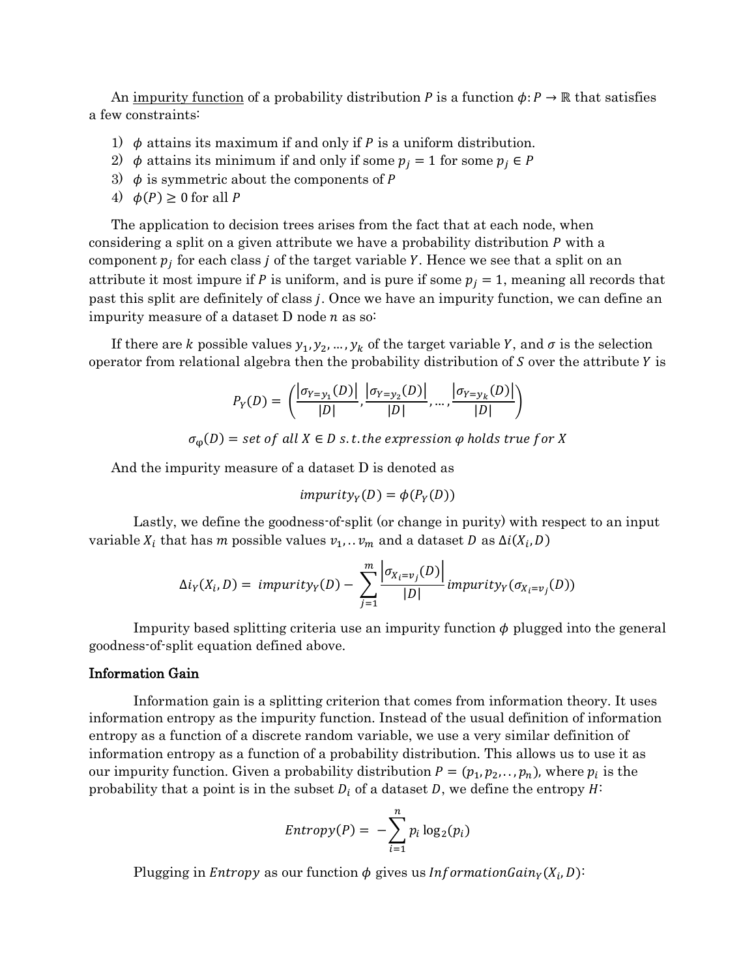An impurity function of a probability distribution P is a function  $\phi: P \to \mathbb{R}$  that satisfies a few constraints:

- 1)  $\phi$  attains its maximum if and only if P is a uniform distribution.
- 2)  $\phi$  attains its minimum if and only if some  $p_i = 1$  for some  $p_i \in P$
- 3)  $\phi$  is symmetric about the components of P
- 4)  $\phi(P) \ge 0$  for all P

The application to decision trees arises from the fact that at each node, when considering a split on a given attribute we have a probability distribution  $P$  with a component  $p_j$  for each class  $j$  of the target variable  $Y$ . Hence we see that a split on an attribute it most impure if P is uniform, and is pure if some  $p_i = 1$ , meaning all records that past this split are definitely of class *j*. Once we have an impurity function, we can define an impurity measure of a dataset  $D$  node  $n$  as so:

If there are k possible values  $y_1, y_2, ..., y_k$  of the target variable Y, and  $\sigma$  is the selection operator from relational algebra then the probability distribution of  $S$  over the attribute  $Y$  is

$$
P_Y(D) = \left( \frac{|\sigma_{Y=y_1}(D)|}{|D|}, \frac{|\sigma_{Y=y_2}(D)|}{|D|}, ..., \frac{|\sigma_{Y=y_k}(D)|}{|D|} \right)
$$

 $\sigma_{0}(D)$  = set of all  $X \in D$  s.t. the expression  $\varphi$  holds true for X

And the impurity measure of a dataset D is denoted as

$$
impurity_Y(D) = \phi(P_Y(D))
$$

Lastly, we define the goodness-of-split (or change in purity) with respect to an input variable  $X_i$  that has  $m$  possible values  $v_1, \ldots v_m$  and a dataset  $D$  as  $\Delta i(X_i, D)$ 

$$
\Delta i_Y(X_i, D) = \text{impurity}_Y(D) - \sum_{j=1}^m \frac{\left| \sigma_{X_i = v_j}(D) \right|}{|D|} \text{impurity}_Y(\sigma_{X_i = v_j}(D))
$$

Impurity based splitting criteria use an impurity function  $\phi$  plugged into the general goodness-of-split equation defined above.

#### Information Gain

Information gain is a splitting criterion that comes from information theory. It uses information entropy as the impurity function. Instead of the usual definition of information entropy as a function of a discrete random variable, we use a very similar definition of information entropy as a function of a probability distribution. This allows us to use it as our impurity function. Given a probability distribution  $P = (p_1, p_2, \ldots, p_n)$ , where  $p_i$  is the probability that a point is in the subset  $D_i$  of a dataset D, we define the entropy  $H^{\pm}$ 

$$
Entropy(P) = -\sum_{i=1}^{n} p_i \log_2(p_i)
$$

Plugging in *Entropy* as our function  $\phi$  gives us *Information Gain*<sub> $Y$ </sub> $(X_i, D)$ :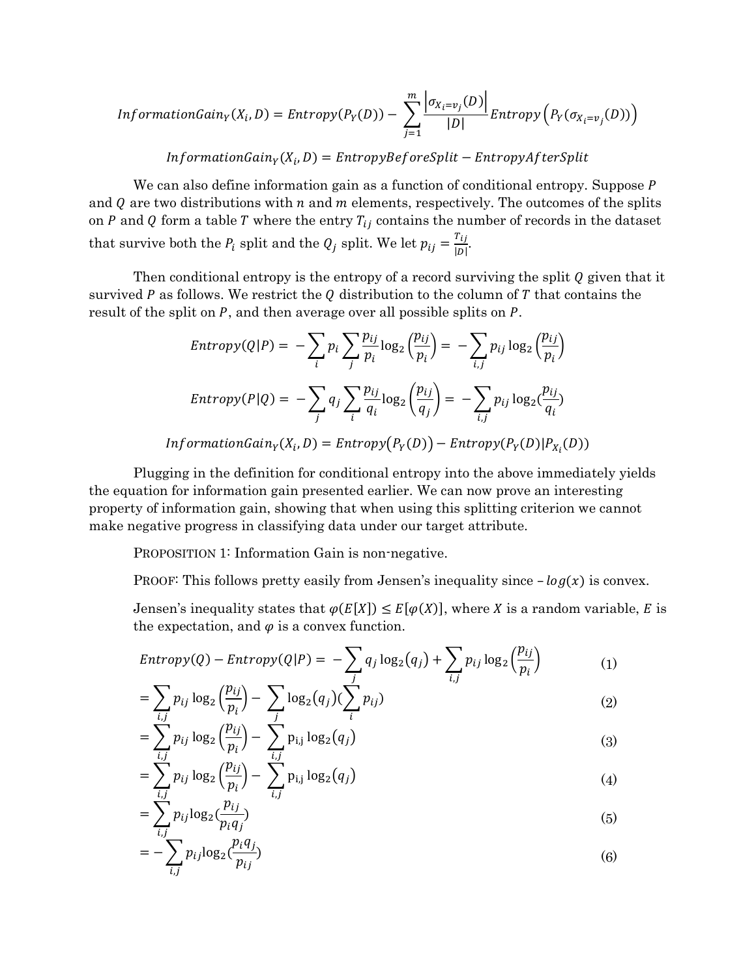$$
InformationGain_Y(X_i, D) = Entropy(P_Y(D)) - \sum_{j=1}^{m} \frac{\left|\sigma_{X_i = v_j}(D)\right|}{|D|} Entropy\left(P_Y(\sigma_{X_i = v_j}(D))\right)
$$

 $InformationGain_Y(X_i, D) = EntropyBeforeSplit - EntropyAfterSplit$ 

We can also define information gain as a function of conditional entropy. Suppose P and  $Q$  are two distributions with  $n$  and  $m$  elements, respectively. The outcomes of the splits on  $P$  and  $Q$  form a table  $T$  where the entry  $T_{ij}$  contains the number of records in the dataset that survive both the  $P_i$  split and the  $Q_j$  split. We let  $p_{ij} = \frac{T_{ij}}{\ln n}$  $\frac{ij}{|D|}$ .

Then conditional entropy is the entropy of a record surviving the split  $Q$  given that it survived P as follows. We restrict the Q distribution to the column of T that contains the result of the split on  $P$ , and then average over all possible splits on  $P$ .

$$
Entropy(Q|P) = -\sum_{i} p_i \sum_{j} \frac{p_{ij}}{p_i} \log_2 \left(\frac{p_{ij}}{p_i}\right) = -\sum_{i,j} p_{ij} \log_2 \left(\frac{p_{ij}}{p_i}\right)
$$

$$
Entropy(P|Q) = -\sum_{j} q_j \sum_{i} \frac{p_{ij}}{q_i} \log_2 \left(\frac{p_{ij}}{q_j}\right) = -\sum_{i,j} p_{ij} \log_2 \left(\frac{p_{ij}}{q_i}\right)
$$

$$
InformationGain_Y(X_i, D) = Entropy(P_Y(D)) - Entropy(P_Y(D)|P_{X_i}(D))
$$

Plugging in the definition for conditional entropy into the above immediately yields the equation for information gain presented earlier. We can now prove an interesting property of information gain, showing that when using this splitting criterion we cannot make negative progress in classifying data under our target attribute.

PROPOSITION 1: Information Gain is non-negative.

PROOF: This follows pretty easily from Jensen's inequality since  $-log(x)$  is convex.

Jensen's inequality states that  $\varphi(E[X]) \leq E[\varphi(X)]$ , where X is a random variable, E is the expectation, and  $\varphi$  is a convex function.

$$
Entropy(Q) - Entropy(Q|P) = -\sum_{j} q_j \log_2(q_j) + \sum_{i,j} p_{ij} \log_2\left(\frac{p_{ij}}{p_i}\right)
$$
(1)  

$$
\sum_{i} p_{ij} \log_2\left(\frac{p_{ij}}{p_i}\right)
$$

$$
= \sum_{i,j} p_{ij} \log_2 \left(\frac{p_{ij}}{p_i}\right) - \sum_j \log_2(q_j) (\sum_i p_{ij})
$$
 (2)

$$
= \sum_{i,j}^{N} p_{ij} \log_2 \left(\frac{p_{ij}}{p_i}\right) - \sum_{i,j}^{N} p_{i,j} \log_2(q_j)
$$
 (3)

$$
= \sum_{i,j}^{n} p_{ij} \log_2 \left(\frac{p_{ij}}{p_i}\right) - \sum_{i,j}^{n} p_{i,j} \log_2(q_j)
$$
 (4)

$$
=\sum_{i,j}^{n} p_{ij} \log_2(\frac{p_{ij}}{p_i q_j})\tag{5}
$$

$$
= -\sum_{i,j} p_{ij} \log_2(\frac{p_i q_j}{p_{ij}}) \tag{6}
$$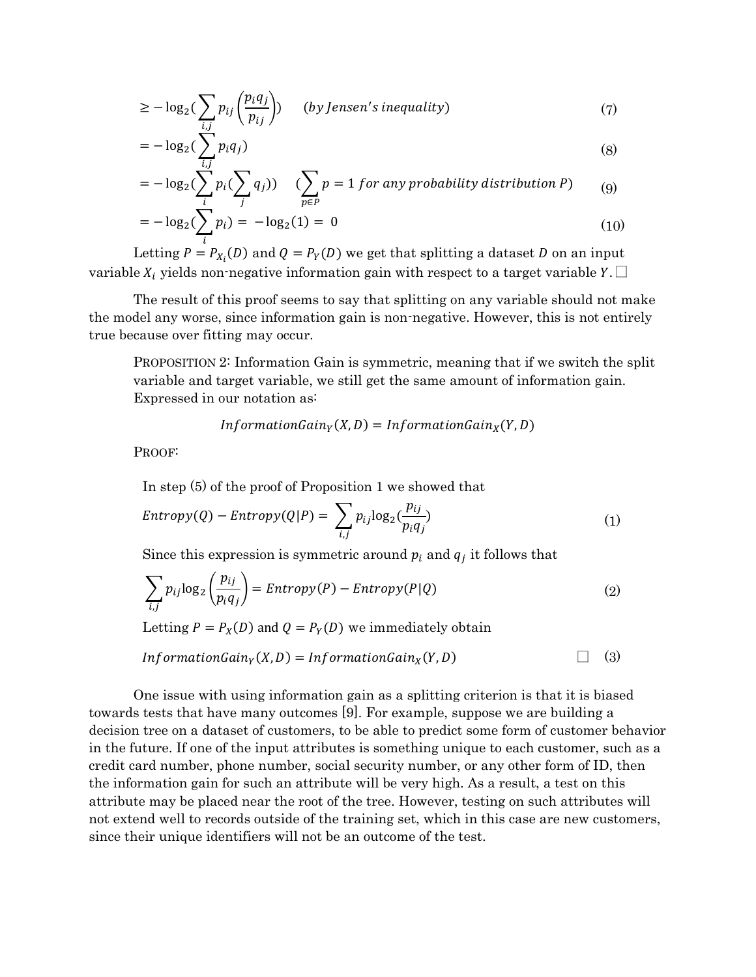$$
\geq -\log_2\left(\sum_{i,j} p_{ij} \left(\frac{p_i q_j}{p_{ij}}\right)\right) \quad (by Jensen's inequality)
$$
\n(7)

$$
= -\log_2\left(\sum_{i,j} p_i q_j\right) \tag{8}
$$

$$
= -\log_2(\sum_{i} p_i(\sum_{j} q_j)) \quad (\sum_{p \in P} p = 1 \text{ for any probability distribution } P) \quad (9)
$$

$$
= -\log_2(\sum_i p_i) = -\log_2(1) = 0
$$
\n(10)

Letting  $P = P_{X_i}(D)$  and  $Q = P_Y(D)$  we get that splitting a dataset D on an input variable  $X_i$  yields non-negative information gain with respect to a target variable  $Y \square$ 

The result of this proof seems to say that splitting on any variable should not make the model any worse, since information gain is non-negative. However, this is not entirely true because over fitting may occur.

PROPOSITION 2: Information Gain is symmetric, meaning that if we switch the split variable and target variable, we still get the same amount of information gain. Expressed in our notation as:

$$
InformationGain_Y(X, D) = InformationGain_X(Y, D)
$$

PROOF:

In step (5) of the proof of Proposition 1 we showed that

$$
Entropy(Q) - Entropy(Q|P) = \sum_{i,j} p_{ij} \log_2(\frac{p_{ij}}{p_i q_j})
$$
\n(1)

Since this expression is symmetric around  $p_i$  and  $q_j$  it follows that

$$
\sum_{i,j} p_{ij} \log_2 \left( \frac{p_{ij}}{p_i q_j} \right) = Entropy(P) - Entropy(P|Q)
$$
\n(2)

Letting  $P = P_X(D)$  and  $Q = P_Y(D)$  we immediately obtain

$$
InformationGainY(X, D) = InformationGainX(Y, D)
$$

One issue with using information gain as a splitting criterion is that it is biased towards tests that have many outcomes [9]. For example, suppose we are building a decision tree on a dataset of customers, to be able to predict some form of customer behavior in the future. If one of the input attributes is something unique to each customer, such as a credit card number, phone number, social security number, or any other form of ID, then the information gain for such an attribute will be very high. As a result, a test on this attribute may be placed near the root of the tree. However, testing on such attributes will not extend well to records outside of the training set, which in this case are new customers, since their unique identifiers will not be an outcome of the test.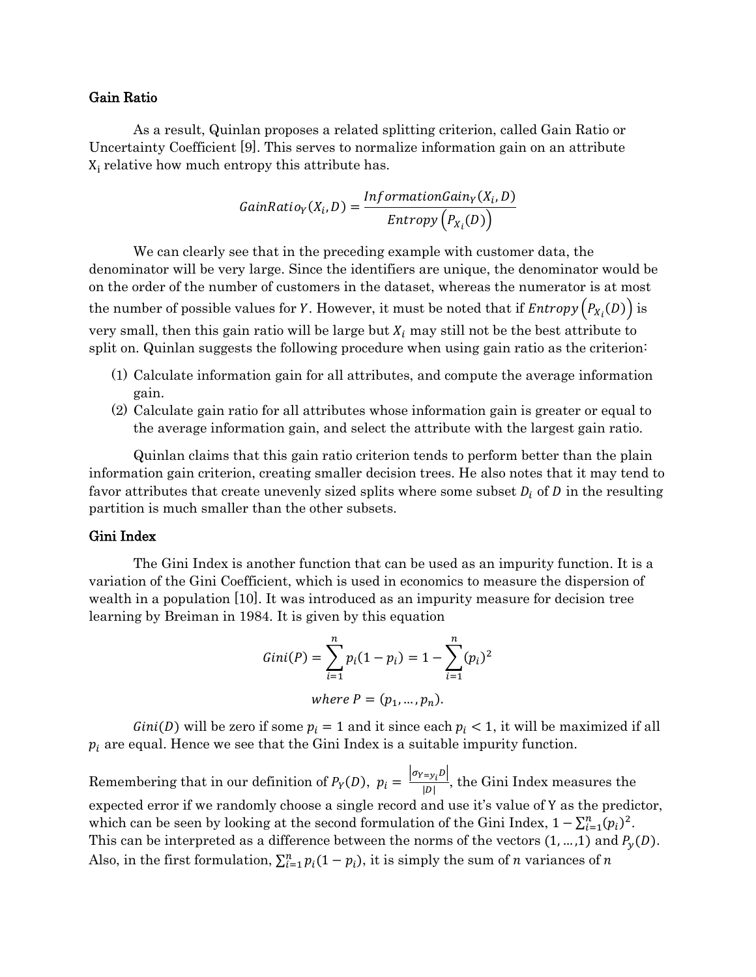#### Gain Ratio

As a result, Quinlan proposes a related splitting criterion, called Gain Ratio or Uncertainty Coefficient [9]. This serves to normalize information gain on an attribute  $X_i$  relative how much entropy this attribute has.

$$
GainRatio_Y(X_i, D) = \frac{InformationGain_Y(X_i, D)}{Entropy(P_{X_i}(D))}
$$

We can clearly see that in the preceding example with customer data, the denominator will be very large. Since the identifiers are unique, the denominator would be on the order of the number of customers in the dataset, whereas the numerator is at most the number of possible values for Y. However, it must be noted that if  $Entropy\left(P_{X_i}(D)\right)$  is very small, then this gain ratio will be large but  $X_i$  may still not be the best attribute to split on. Quinlan suggests the following procedure when using gain ratio as the criterion:

- (1) Calculate information gain for all attributes, and compute the average information gain.
- (2) Calculate gain ratio for all attributes whose information gain is greater or equal to the average information gain, and select the attribute with the largest gain ratio.

Quinlan claims that this gain ratio criterion tends to perform better than the plain information gain criterion, creating smaller decision trees. He also notes that it may tend to favor attributes that create unevenly sized splits where some subset  $D_i$  of D in the resulting partition is much smaller than the other subsets.

### Gini Index

The Gini Index is another function that can be used as an impurity function. It is a variation of the Gini Coefficient, which is used in economics to measure the dispersion of wealth in a population [10]. It was introduced as an impurity measure for decision tree learning by Breiman in 1984. It is given by this equation

Gini(P) = 
$$
\sum_{i=1}^{n} p_i (1 - p_i) = 1 - \sum_{i=1}^{n} (p_i)^2
$$
  
where P = (p<sub>1</sub>, ..., p<sub>n</sub>).

 $Gini(D)$  will be zero if some  $p_i = 1$  and it since each  $p_i < 1$ , it will be maximized if all  $p_i$  are equal. Hence we see that the Gini Index is a suitable impurity function.

Remembering that in our definition of  $P_Y(D)$ ,  $p_i = \frac{|\sigma_{Y-y_i}D|}{|D|}$  $\frac{y_i - y_i}{|D|}$ , the Gini Index measures the expected error if we randomly choose a single record and use it's value of Y as the predictor, which can be seen by looking at the second formulation of the Gini Index,  $1 - \sum_{i=1}^{n} (p_i)^2$ . This can be interpreted as a difference between the norms of the vectors  $(1, ..., 1)$  and  $P_y(D)$ . Also, in the first formulation,  $\sum_{i=1}^{n} p_i(1-p_i)$ , it is simply the sum of *n* variances of *n*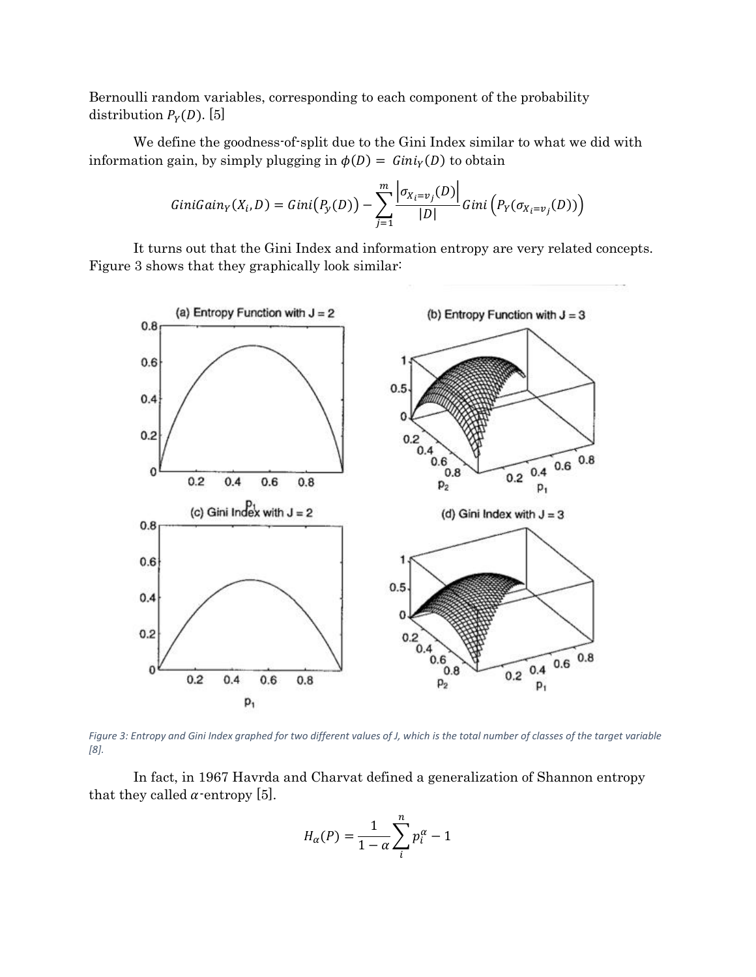Bernoulli random variables, corresponding to each component of the probability distribution  $P_Y(D)$ . [5]

We define the goodness-of-split due to the Gini Index similar to what we did with information gain, by simply plugging in  $\phi(D) = Gini_Y(D)$  to obtain

$$
GiniGain_Y(X_i, D) = Gini(P_Y(D)) - \sum_{j=1}^m \frac{\left|\sigma_{X_i = v_j}(D)\right|}{|D|} Gini\left(P_Y(\sigma_{X_i = v_j}(D))\right)
$$

It turns out that the Gini Index and information entropy are very related concepts. Figure 3 shows that they graphically look similar:



Figure 3: Entropy and Gini Index graphed for two different values of J, which is the total number of classes of the target variable *[8].*

In fact, in 1967 Havrda and Charvat defined a generalization of Shannon entropy that they called  $\alpha$ -entropy [5].

$$
H_{\alpha}(P) = \frac{1}{1-\alpha} \sum_{i}^{n} p_i^{\alpha} - 1
$$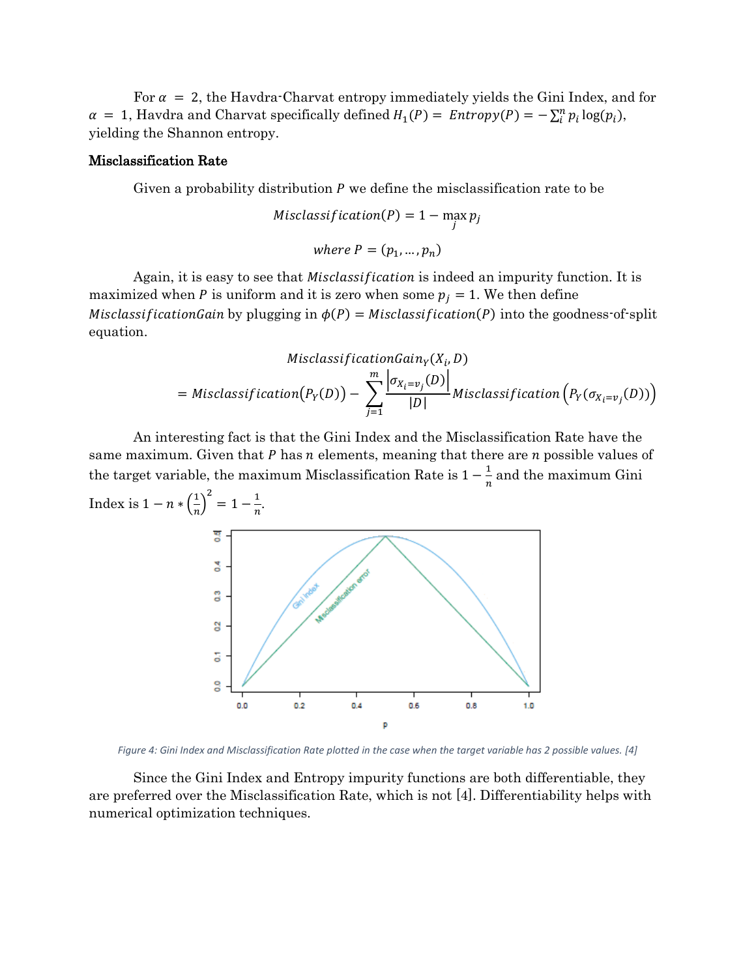For  $\alpha = 2$ , the Havdra-Charvat entropy immediately yields the Gini Index, and for  $\alpha = 1$ , Havdra and Charvat specifically defined  $H_1(P) = Entropy(P) = -\sum_i^n p_i \log(p_i)$ , yielding the Shannon entropy.

#### Misclassification Rate

Given a probability distribution  $P$  we define the misclassification rate to be

$$
Misclassification(P) = 1 - \max_j p_j
$$
  
where  $P = (p_1, ..., p_n)$ 

Again, it is easy to see that *Misclassification* is indeed an impurity function. It is maximized when P is uniform and it is zero when some  $p_j = 1$ . We then define Misclassification Gain by plugging in  $\phi(P) = Misclassification(P)$  into the goodness-of-split equation.

$$
MisclassificationGain_Y(X_i, D)
$$
  
=  $Missclassification(P_Y(D)) - \sum_{j=1}^{m} \frac{\left| \sigma_{X_i = v_j}(D) \right|}{|D|} Misclassification(P_Y(\sigma_{X_i = v_j}(D)))$ 

An interesting fact is that the Gini Index and the Misclassification Rate have the same maximum. Given that  $P$  has  $n$  elements, meaning that there are  $n$  possible values of the target variable, the maximum Misclassification Rate is  $1-\frac{1}{n}$  $\frac{1}{n}$  and the maximum Gini Index is  $1 - n \cdot \left(\frac{1}{n}\right)$  $\left(\frac{1}{n}\right)^2 = 1 - \frac{1}{n}$ 



*Figure 4: Gini Index and Misclassification Rate plotted in the case when the target variable has 2 possible values. [4]*

Since the Gini Index and Entropy impurity functions are both differentiable, they are preferred over the Misclassification Rate, which is not [4]. Differentiability helps with numerical optimization techniques.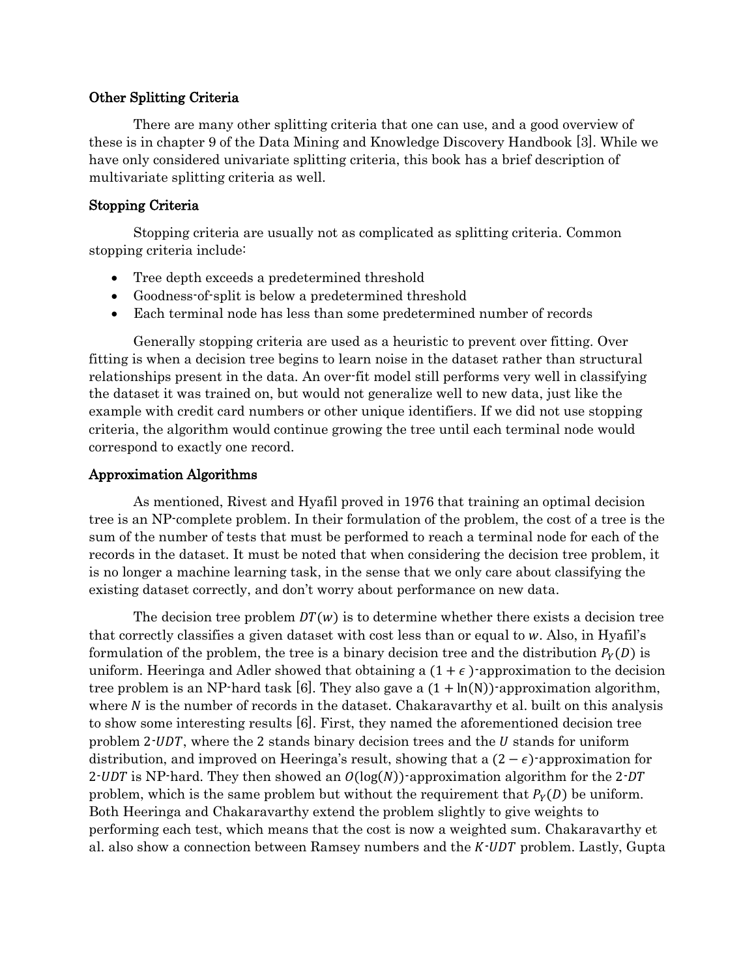## Other Splitting Criteria

 There are many other splitting criteria that one can use, and a good overview of these is in chapter 9 of the Data Mining and Knowledge Discovery Handbook [3]. While we have only considered univariate splitting criteria, this book has a brief description of multivariate splitting criteria as well.

## Stopping Criteria

Stopping criteria are usually not as complicated as splitting criteria. Common stopping criteria include:

- Tree depth exceeds a predetermined threshold
- Goodness-of-split is below a predetermined threshold
- Each terminal node has less than some predetermined number of records

Generally stopping criteria are used as a heuristic to prevent over fitting. Over fitting is when a decision tree begins to learn noise in the dataset rather than structural relationships present in the data. An over-fit model still performs very well in classifying the dataset it was trained on, but would not generalize well to new data, just like the example with credit card numbers or other unique identifiers. If we did not use stopping criteria, the algorithm would continue growing the tree until each terminal node would correspond to exactly one record.

## Approximation Algorithms

As mentioned, Rivest and Hyafil proved in 1976 that training an optimal decision tree is an NP-complete problem. In their formulation of the problem, the cost of a tree is the sum of the number of tests that must be performed to reach a terminal node for each of the records in the dataset. It must be noted that when considering the decision tree problem, it is no longer a machine learning task, in the sense that we only care about classifying the existing dataset correctly, and don't worry about performance on new data.

The decision tree problem  $DT(w)$  is to determine whether there exists a decision tree that correctly classifies a given dataset with cost less than or equal to w. Also, in Hyafil's formulation of the problem, the tree is a binary decision tree and the distribution  $P_Y(D)$  is uniform. Heeringa and Adler showed that obtaining a  $(1 + \epsilon)$ -approximation to the decision tree problem is an NP-hard task [6]. They also gave a  $(1 + \ln(N))$ -approximation algorithm, where  $N$  is the number of records in the dataset. Chakaravarthy et al. built on this analysis to show some interesting results [6]. First, they named the aforementioned decision tree problem 2-UDT, where the 2 stands binary decision trees and the  *stands for uniform* distribution, and improved on Heeringa's result, showing that a  $(2 - \epsilon)$ -approximation for 2. UDT is NP-hard. They then showed an  $O(log(N))$ -approximation algorithm for the 2. DT problem, which is the same problem but without the requirement that  $P_Y(D)$  be uniform. Both Heeringa and Chakaravarthy extend the problem slightly to give weights to performing each test, which means that the cost is now a weighted sum. Chakaravarthy et al. also show a connection between Ramsey numbers and the  $K \cdot UDT$  problem. Lastly, Gupta